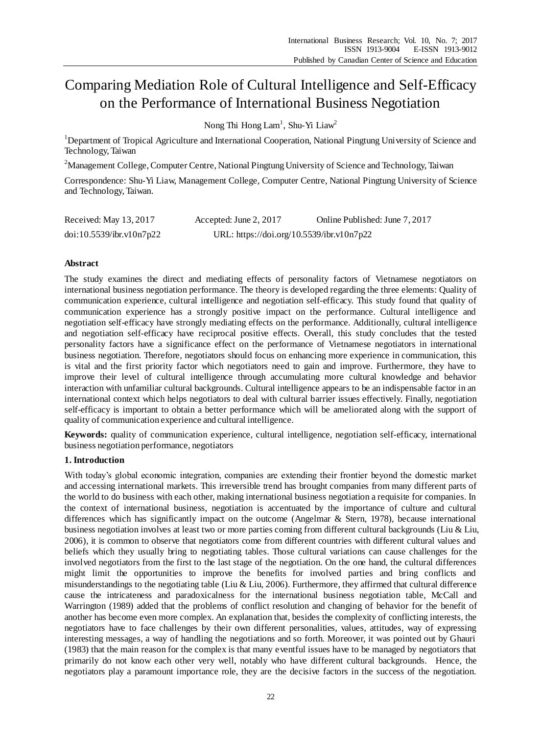# Comparing Mediation Role of Cultural Intelligence and Self-Efficacy on the Performance of International Business Negotiation

Nong Thi Hong Lam<sup>1</sup>, Shu-Yi Liaw<sup>2</sup>

<sup>1</sup>Department of Tropical Agriculture and International Cooperation, National Pingtung University of Science and Technology, Taiwan

<sup>2</sup>Management College, Computer Centre, National Pingtung University of Science and Technology, Taiwan

Correspondence: Shu-Yi Liaw, Management College, Computer Centre, National Pingtung University of Science and Technology, Taiwan.

| Received: May 13, 2017   | Accepted: June 2, 2017                    | Online Published: June 7, 2017 |
|--------------------------|-------------------------------------------|--------------------------------|
| doi:10.5539/ibr.v10n7p22 | URL: https://doi.org/10.5539/ibr.v10n7p22 |                                |

# **Abstract**

The study examines the direct and mediating effects of personality factors of Vietnamese negotiators on international business negotiation performance. The theory is developed regarding the three elements: Quality of communication experience, cultural intelligence and negotiation self-efficacy. This study found that quality of communication experience has a strongly positive impact on the performance. Cultural intelligence and negotiation self-efficacy have strongly mediating effects on the performance. Additionally, cultural intelligence and negotiation self-efficacy have reciprocal positive effects. Overall, this study concludes that the tested personality factors have a significance effect on the performance of Vietnamese negotiators in international business negotiation. Therefore, negotiators should focus on enhancing more experience in communication, this is vital and the first priority factor which negotiators need to gain and improve. Furthermore, they have to improve their level of cultural intelligence through accumulating more cultural knowledge and behavior interaction with unfamiliar cultural backgrounds. Cultural intelligence appears to be an indispensable factor in an international context which helps negotiators to deal with cultural barrier issues effectively. Finally, negotiation self-efficacy is important to obtain a better performance which will be ameliorated along with the support of quality of communication experience and cultural intelligence.

**Keywords:** quality of communication experience, cultural intelligence, negotiation self-efficacy, international business negotiation performance, negotiators

# **1. Introduction**

With today's global economic integration, companies are extending their frontier beyond the domestic market and accessing international markets. This irreversible trend has brought companies from many different parts of the world to do business with each other, making international business negotiation a requisite for companies. In the context of international business, negotiation is accentuated by the importance of culture and cultural differences which has significantly impact on the outcome (Angelmar & Stern, 1978), because international business negotiation involves at least two or more parties coming from different cultural backgrounds (Liu & Liu, 2006), it is common to observe that negotiators come from different countries with different cultural values and beliefs which they usually bring to negotiating tables. Those cultural variations can cause challenges for the involved negotiators from the first to the last stage of the negotiation. On the one hand, the cultural differences might limit the opportunities to improve the benefits for involved parties and bring conflicts and misunderstandings to the negotiating table (Liu & Liu, 2006). Furthermore, they affirmed that cultural difference cause the intricateness and paradoxicalness for the international business negotiation table, McCall and Warrington (1989) added that the problems of conflict resolution and changing of behavior for the benefit of another has become even more complex. An explanation that, besides the complexity of conflicting interests, the negotiators have to face challenges by their own different personalities, values, attitudes, way of expressing interesting messages, a way of handling the negotiations and so forth. Moreover, it was pointed out by Ghauri (1983) that the main reason for the complex is that many eventful issues have to be managed by negotiators that primarily do not know each other very well, notably who have different cultural backgrounds. Hence, the negotiators play a paramount importance role, they are the decisive factors in the success of the negotiation.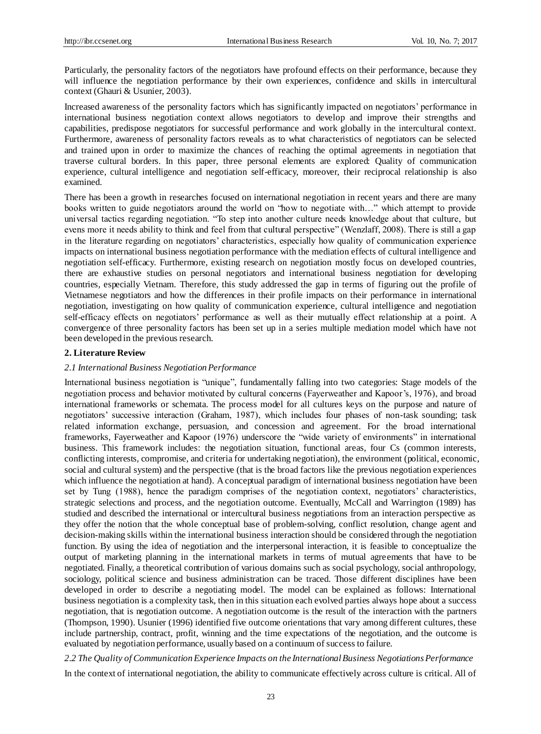Particularly, the personality factors of the negotiators have profound effects on their performance, because they will influence the negotiation performance by their own experiences, confidence and skills in intercultural context (Ghauri & Usunier, 2003).

Increased awareness of the personality factors which has significantly impacted on negotiators' performance in international business negotiation context allows negotiators to develop and improve their strengths and capabilities, predispose negotiators for successful performance and work globally in the intercultural context. Furthermore, awareness of personality factors reveals as to what characteristics of negotiators can be selected and trained upon in order to maximize the chances of reaching the optimal agreements in negotiation that traverse cultural borders. In this paper, three personal elements are explored: Quality of communication experience, cultural intelligence and negotiation self-efficacy, moreover, their reciprocal relationship is also examined.

There has been a growth in researches focused on international negotiation in recent years and there are many books written to guide negotiators around the world on "how to negotiate with…" which attempt to provide universal tactics regarding negotiation. "To step into another culture needs knowledge about that culture, but evens more it needs ability to think and feel from that cultural perspective" (Wenzlaff, 2008). There is still a gap in the literature regarding on negotiators' characteristics, especially how quality of communication experience impacts on international business negotiation performance with the mediation effects of cultural intelligence and negotiation self-efficacy. Furthermore, existing research on negotiation mostly focus on developed countries, there are exhaustive studies on personal negotiators and international business negotiation for developing countries, especially Vietnam. Therefore, this study addressed the gap in terms of figuring out the profile of Vietnamese negotiators and how the differences in their profile impacts on their performance in international negotiation, investigating on how quality of communication experience, cultural intelligence and negotiation self-efficacy effects on negotiators' performance as well as their mutually effect relationship at a point. A convergence of three personality factors has been set up in a series multiple mediation model which have not been developed in the previous research.

# **2. Literature Review**

## *2.1 International Business Negotiation Performance*

International business negotiation is "unique", fundamentally falling into two categories: Stage models of the negotiation process and behavior motivated by cultural concerns (Fayerweather and Kapoor's, 1976), and broad international frameworks or schemata. The process model for all cultures keys on the purpose and nature of negotiators' successive interaction (Graham, 1987), which includes four phases of non-task sounding; task related information exchange, persuasion, and concession and agreement. For the broad international frameworks, Fayerweather and Kapoor (1976) underscore the "wide variety of environments" in international business. This framework includes: the negotiation situation, functional areas, four Cs (common interests, conflicting interests, compromise, and criteria for undertaking negotiation), the environment (political, economic, social and cultural system) and the perspective (that is the broad factors like the previous negotiation experiences which influence the negotiation at hand). A conceptual paradigm of international business negotiation have been set by Tung (1988), hence the paradigm comprises of the negotiation context, negotiators' characteristics, strategic selections and process, and the negotiation outcome. Eventually, McCall and Warrington (1989) has studied and described the international or intercultural business negotiations from an interaction perspective as they offer the notion that the whole conceptual base of problem-solving, conflict resolution, change agent and decision-making skills within the international business interaction should be considered through the negotiation function. By using the idea of negotiation and the interpersonal interaction, it is feasible to conceptualize the output of marketing planning in the international markets in terms of mutual agreements that have to be negotiated. Finally, a theoretical contribution of various domains such as social psychology, social anthropology, sociology, political science and business administration can be traced. Those different disciplines have been developed in order to describe a negotiating model. The model can be explained as follows: International business negotiation is a complexity task, then in this situation each evolved parties always hope about a success negotiation, that is negotiation outcome. A negotiation outcome is the result of the interaction with the partners (Thompson, 1990). Usunier (1996) identified five outcome orientations that vary among different cultures, these include partnership, contract, profit, winning and the time expectations of the negotiation, and the outcome is evaluated by negotiation performance, usually based on a continuum of success to failure.

*2.2 The Quality of Communication Experience Impacts on the International Business Negotiations Performance*

In the context of international negotiation, the ability to communicate effectively across culture is critical. All of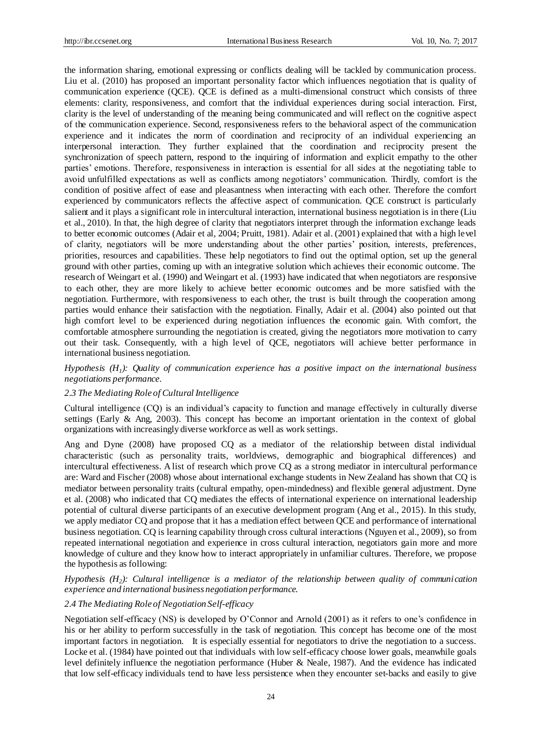the information sharing, emotional expressing or conflicts dealing will be tackled by communication process. Liu et al. (2010) has proposed an important personality factor which influences negotiation that is quality of communication experience (QCE). QCE is defined as a multi-dimensional construct which consists of three elements: clarity, responsiveness, and comfort that the individual experiences during social interaction. First, clarity is the level of understanding of the meaning being communicated and will reflect on the cognitive aspect of the communication experience. Second, responsiveness refers to the behavioral aspect of the communication experience and it indicates the norm of coordination and reciprocity of an individual experiencing an interpersonal interaction. They further explained that the coordination and reciprocity present the synchronization of speech pattern, respond to the inquiring of information and explicit empathy to the other parties' emotions. Therefore, responsiveness in interaction is essential for all sides at the negotiating table to avoid unfulfilled expectations as well as conflicts among negotiators' communication. Thirdly, comfort is the condition of positive affect of ease and pleasantness when interacting with each other. Therefore the comfort experienced by communicators reflects the affective aspect of communication. QCE construct is particularly salient and it plays a significant role in intercultural interaction, international business negotiation is in there (Liu et al., 2010). In that, the high degree of clarity that negotiators interpret through the information exchange leads to better economic outcomes (Adair et al, 2004; Pruitt, 1981). Adair et al. (2001) explained that with a high level of clarity, negotiators will be more understanding about the other parties' position, interests, preferences, priorities, resources and capabilities. These help negotiators to find out the optimal option, set up the general ground with other parties, coming up with an integrative solution which achieves their economic outcome. The research of Weingart et al. (1990) and Weingart et al. (1993) have indicated that when negotiators are responsive to each other, they are more likely to achieve better economic outcomes and be more satisfied with the negotiation. Furthermore, with responsiveness to each other, the trust is built through the cooperation among parties would enhance their satisfaction with the negotiation. Finally, Adair et al. (2004) also pointed out that high comfort level to be experienced during negotiation influences the economic gain. With comfort, the comfortable atmosphere surrounding the negotiation is created, giving the negotiators more motivation to carry out their task. Consequently, with a high level of QCE, negotiators will achieve better performance in international business negotiation.

*Hypothesis (H<sup>1</sup> ): Quality of communication experience has a positive impact on the international business negotiations performance.* 

#### *2.3 The Mediating Role of Cultural Intelligence*

Cultural intelligence (CQ) is an individual's capacity to function and manage effectively in culturally diverse settings (Early & Ang, 2003). This concept has become an important orientation in the context of global organizations with increasingly diverse workforce as well as work settings.

Ang and Dyne (2008) have proposed CQ as a mediator of the relationship between distal individual characteristic (such as personality traits, worldviews, demographic and biographical differences) and intercultural effectiveness. A list of research which prove CQ as a strong mediator in intercultural performance are: Ward and Fischer (2008) whose about international exchange students in New Zealand has shown that CQ is mediator between personality traits (cultural empathy, open-mindedness) and flexible general adjustment. Dyne et al. (2008) who indicated that CQ mediates the effects of international experience on international leadership potential of cultural diverse participants of an executive development program (Ang et al., 2015). In this study, we apply mediator CQ and propose that it has a mediation effect between QCE and performance of international business negotiation. CQ is learning capability through cross cultural interactions (Nguyen et al., 2009), so from repeated international negotiation and experience in cross cultural interaction, negotiators gain more and more knowledge of culture and they know how to interact appropriately in unfamiliar cultures. Therefore, we propose the hypothesis as following:

# *Hypothesis (H<sup>2</sup> ): Cultural intelligence is a mediator of the relationship between quality of communication experience and international business negotiation performance.*

#### *2.4 The Mediating Role of Negotiation Self-efficacy*

Negotiation self-efficacy (NS) is developed by O'Connor and Arnold (2001) as it refers to one's confidence in his or her ability to perform successfully in the task of negotiation. This concept has become one of the most important factors in negotiation. It is especially essential for negotiators to drive the negotiation to a success. Locke et al. (1984) have pointed out that individuals with low self-efficacy choose lower goals, meanwhile goals level definitely influence the negotiation performance (Huber & Neale, 1987). And the evidence has indicated that low self-efficacy individuals tend to have less persistence when they encounter set-backs and easily to give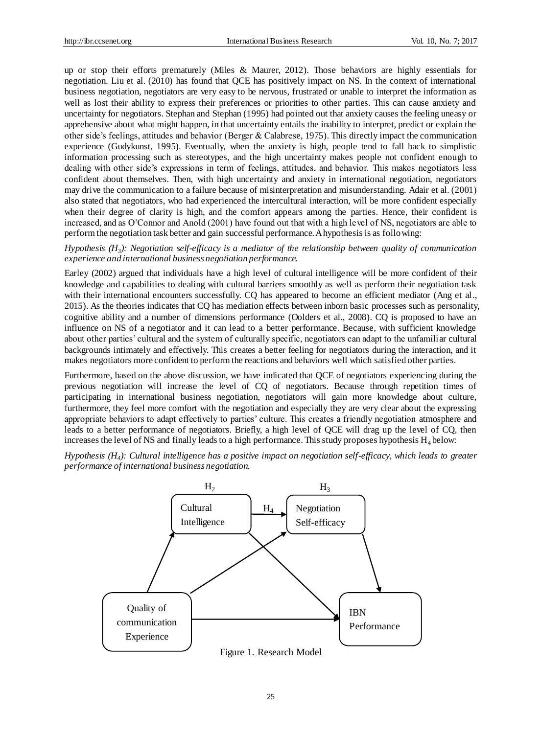up or stop their efforts prematurely (Miles & Maurer, 2012). Those behaviors are highly essentials for negotiation. Liu et al. (2010) has found that QCE has positively impact on NS. In the context of international business negotiation, negotiators are very easy to be nervous, frustrated or unable to interpret the information as well as lost their ability to express their preferences or priorities to other parties. This can cause anxiety and uncertainty for negotiators. Stephan and Stephan (1995) had pointed out that anxiety causes the feeling uneasy or apprehensive about what might happen, in that uncertainty entails the inability to interpret, predict or explain the other side's feelings, attitudes and behavior (Berger & Calabrese, 1975). This directly impact the communication experience (Gudykunst, 1995). Eventually, when the anxiety is high, people tend to fall back to simplistic information processing such as stereotypes, and the high uncertainty makes people not confident enough to dealing with other side's expressions in term of feelings, attitudes, and behavior. This makes negotiators less confident about themselves. Then, with high uncertainty and anxiety in international negotiation, negotiators may drive the communication to a failure because of misinterpretation and misunderstanding. Adair et al. (2001) also stated that negotiators, who had experienced the intercultural interaction, will be more confident especially when their degree of clarity is high, and the comfort appears among the parties. Hence, their confident is increased, and as O'Connor and Anold (2001) have found out that with a high level of NS, negotiators are able to perform the negotiation task better and gain successful performance. A hypothesis is as following:

*Hypothesis (H<sup>3</sup> ): Negotiation self-efficacy is a mediator of the relationship between quality of communication experience and international business negotiation performance.*

Earley (2002) argued that individuals have a high level of cultural intelligence will be more confident of their knowledge and capabilities to dealing with cultural barriers smoothly as well as perform their negotiation task with their international encounters successfully. CQ has appeared to become an efficient mediator (Ang et al., 2015). As the theories indicates that CQ has mediation effects between inborn basic processes such as personality, cognitive ability and a number of dimensions performance (Oolders et al., 2008). CQ is proposed to have an influence on NS of a negotiator and it can lead to a better performance. Because, with sufficient knowledge about other parties' cultural and the system of culturally specific, negotiators can adapt to the unfamiliar cultural backgrounds intimately and effectively. This creates a better feeling for negotiators during the interaction, and it makes negotiators more confident to perform the reactions and behaviors well which satisfied other parties.

Furthermore, based on the above discussion, we have indicated that QCE of negotiators experiencing during the previous negotiation will increase the level of CQ of negotiators. Because through repetition times of participating in international business negotiation, negotiators will gain more knowledge about culture, furthermore, they feel more comfort with the negotiation and especially they are very clear about the expressing appropriate behaviors to adapt effectively to parties' culture. This creates a friendly negotiation atmosphere and leads to a better performance of negotiators. Briefly, a high level of QCE will drag up the level of CQ, then increases the level of NS and finally leads to a high performance. This study proposes hypothesis  $H_4$  below:

*Hypothesis (H<sup>4</sup> ): Cultural intelligence has a positive impact on negotiation self-efficacy, which leads to greater performance of international business negotiation.*



25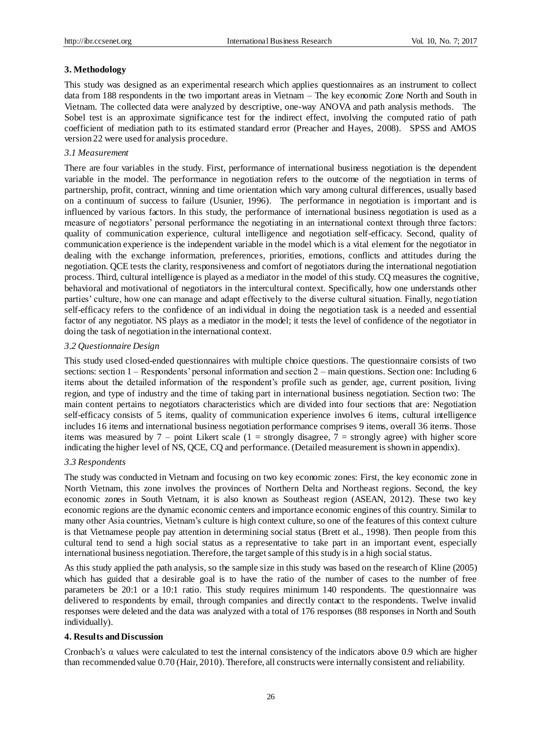#### **3. Methodology**

This study was designed as an experimental research which applies questionnaires as an instrument to collect data from 188 respondents in the two important areas in Vietnam – The key economic Zone North and South in Vietnam. The collected data were analyzed by descriptive, one-way ANOVA and path analysis methods. The Sobel test is an approximate significance test for the indirect effect, involving the computed ratio of path coefficient of mediation path to its estimated standard error (Preacher and Hayes, 2008). SPSS and AMOS version 22 were used for analysis procedure.

#### *3.1 Measurement*

There are four variables in the study. First, performance of international business negotiation is the dependent variable in the model. The performance in negotiation refers to the outcome of the negotiation in terms of partnership, profit, contract, winning and time orientation which vary among cultural differences, usually based on a continuum of success to failure (Usunier, 1996). The performance in negotiation is important and is influenced by various factors. In this study, the performance of international business negotiation is used as a measure of negotiators' personal performance the negotiating in an international context through three factors: quality of communication experience, cultural intelligence and negotiation self-efficacy. Second, quality of communication experience is the independent variable in the model which is a vital element for the negotiator in dealing with the exchange information, preferences, priorities, emotions, conflicts and attitudes during the negotiation. QCE tests the clarity, responsiveness and comfort of negotiators during the international negotiation process. Third, cultural intelligence is played as a mediator in the model of this study. CQ measures the cognitive, behavioral and motivational of negotiators in the intercultural context. Specifically, how one understands other parties' culture, how one can manage and adapt effectively to the diverse cultural situation. Finally, negotiation self-efficacy refers to the confidence of an individual in doing the negotiation task is a needed and essential factor of any negotiator. NS plays as a mediator in the model; it tests the level of confidence of the negotiator in doing the task of negotiation in the international context.

#### *3.2 Questionnaire Design*

This study used closed-ended questionnaires with multiple choice questions. The questionnaire consists of two sections: section 1 – Respondents' personal information and section 2 – main questions. Section one: Including 6 items about the detailed information of the respondent's profile such as gender, age, current position, living region, and type of industry and the time of taking part in international business negotiation. Section two: The main content pertains to negotiators characteristics which are divided into four sections that are: Negotiation self-efficacy consists of 5 items, quality of communication experience involves 6 items, cultural intelligence includes 16 items and international business negotiation performance comprises 9 items, overall 36 items. Those items was measured by  $7$  – point Likert scale (1 = strongly disagree,  $7$  = strongly agree) with higher score indicating the higher level of NS, QCE, CQ and performance. (Detailed measurement is shown in appendix).

#### *3.3 Respondents*

The study was conducted in Vietnam and focusing on two key economic zones: First, the key economic zone in North Vietnam, this zone involves the provinces of Northern Delta and Northeast regions. Second, the key economic zones in South Vietnam, it is also known as Southeast region (ASEAN, 2012). These two key economic regions are the dynamic economic centers and importance economic engines of this country. Similar to many other Asia countries, Vietnam's culture is high context culture, so one of the features of this context culture is that Vietnamese people pay attention in determining social status (Brett et al., 1998). Then people from this cultural tend to send a high social status as a representative to take part in an important event, especially international business negotiation. Therefore, the target sample of this study is in a high social status.

As this study applied the path analysis, so the sample size in this study was based on the research of Kline (2005) which has guided that a desirable goal is to have the ratio of the number of cases to the number of free parameters be 20:1 or a 10:1 ratio. This study requires minimum 140 respondents. The questionnaire was delivered to respondents by email, through companies and directly contact to the respondents. Twelve invalid responses were deleted and the data was analyzed with a total of 176 responses (88 responses in North and South individually).

#### **4. Results and Discussion**

Cronbach's  $\alpha$  values were calculated to test the internal consistency of the indicators above 0.9 which are higher than recommended value 0.70 (Hair, 2010). Therefore, all constructs were internally consistent and reliability.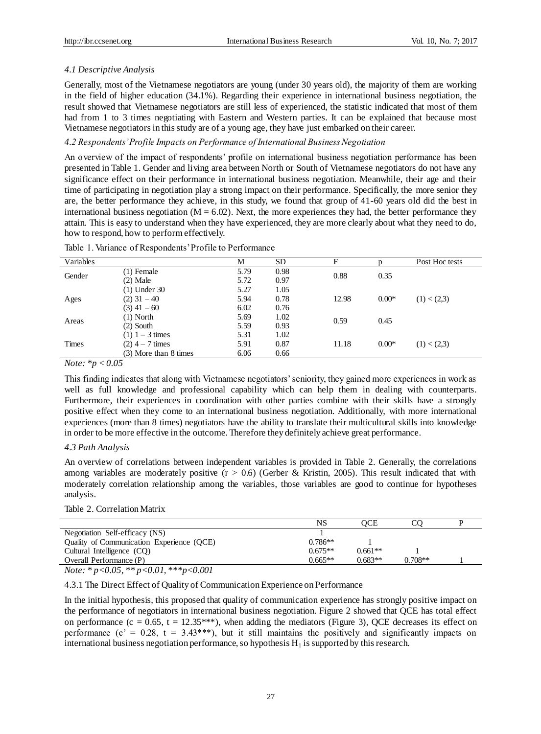## *4.1 Descriptive Analysis*

Generally, most of the Vietnamese negotiators are young (under 30 years old), the majority of them are working in the field of higher education (34.1%). Regarding their experience in international business negotiation, the result showed that Vietnamese negotiators are still less of experienced, the statistic indicated that most of them had from 1 to 3 times negotiating with Eastern and Western parties. It can be explained that because most Vietnamese negotiators in this study are of a young age, they have just embarked on their career.

## *4.2 Respondents' Profile Impacts on Performance of International Business Negotiation*

An overview of the impact of respondents' profile on international business negotiation performance has been presented in Table 1. Gender and living area between North or South of Vietnamese negotiators do not have any significance effect on their performance in international business negotiation. Meanwhile, their age and their time of participating in negotiation play a strong impact on their performance. Specifically, the more senior they are, the better performance they achieve, in this study, we found that group of 41-60 years old did the best in international business negotiation  $(M = 6.02)$ . Next, the more experiences they had, the better performance they attain. This is easy to understand when they have experienced, they are more clearly about what they need to do, how to respond, how to perform effectively.

| Variables |                       | M    | <b>SD</b> | F     |         | Post Hoc tests |
|-----------|-----------------------|------|-----------|-------|---------|----------------|
| Gender    | $(1)$ Female          | 5.79 | 0.98      | 0.88  | 0.35    |                |
|           | $(2)$ Male            | 5.72 | 0.97      |       |         |                |
|           | $(1)$ Under 30        | 5.27 | 1.05      |       |         |                |
| Ages      | $(2)$ 31 $-40$        | 5.94 | 0.78      | 12.98 | $0.00*$ | (1) < (2,3)    |
|           | $(3)$ 41 – 60         | 6.02 | 0.76      |       |         |                |
| Areas     | $(1)$ North           | 5.69 | 1.02      | 0.59  | 0.45    |                |
|           | $(2)$ South           | 5.59 | 0.93      |       |         |                |
|           | $(1)$ 1 – 3 times     | 5.31 | 1.02      |       |         |                |
| Times     | $(2)$ 4 – 7 times     | 5.91 | 0.87      | 11.18 | $0.00*$ | (1) < (2,3)    |
|           | (3) More than 8 times | 6.06 | 0.66      |       |         |                |

*Note: \*p < 0.05*

This finding indicates that along with Vietnamese negotiators' seniority, they gained more experiences in work as well as full knowledge and professional capability which can help them in dealing with counterparts. Furthermore, their experiences in coordination with other parties combine with their skills have a strongly positive effect when they come to an international business negotiation. Additionally, with more international experiences (more than 8 times) negotiators have the ability to translate their multicultural skills into knowledge in order to be more effective in the outcome. Therefore they definitely achieve great performance.

#### *4.3 Path Analysis*

An overview of correlations between independent variables is provided in Table 2. Generally, the correlations among variables are moderately positive  $(r > 0.6)$  (Gerber & Kristin, 2005). This result indicated that with moderately correlation relationship among the variables, those variables are good to continue for hypotheses analysis.

#### Table 2. Correlation Matrix

|                                                                                                                                                     | NS        | OCE       |           |  |
|-----------------------------------------------------------------------------------------------------------------------------------------------------|-----------|-----------|-----------|--|
| Negotiation Self-efficacy (NS)                                                                                                                      |           |           |           |  |
| Quality of Communication Experience (QCE)                                                                                                           | $0.786**$ |           |           |  |
| Cultural Intelligence (CQ)                                                                                                                          | $0.675**$ | $0.661**$ |           |  |
| Overall Performance (P)                                                                                                                             | $0.665**$ | $0.683**$ | $0.708**$ |  |
| $\mathbf{M}$ is $\mathbf{A} \mathbf{A}$ in $\mathbf{A} \mathbf{A}$ in $\mathbf{A} \mathbf{A}$ in $\mathbf{A} \mathbf{A}$ in $\mathbf{A} \mathbf{A}$ |           |           |           |  |

*Note: \* p<0.05, \*\* p<0.01, \*\*\*p<0.001*

## 4.3.1 The Direct Effect of Quality of Communication Experience on Performance

In the initial hypothesis, this proposed that quality of communication experience has strongly positive impact on the performance of negotiators in international business negotiation. Figure 2 showed that QCE has total effect on performance (c =  $0.65$ , t =  $12.35***$ ), when adding the mediators (Figure 3), QCE decreases its effect on performance (c' = 0.28, t = 3.43\*\*\*), but it still maintains the positively and significantly impacts on international business negotiation performance, so hypothesis  $H_1$  is supported by this research.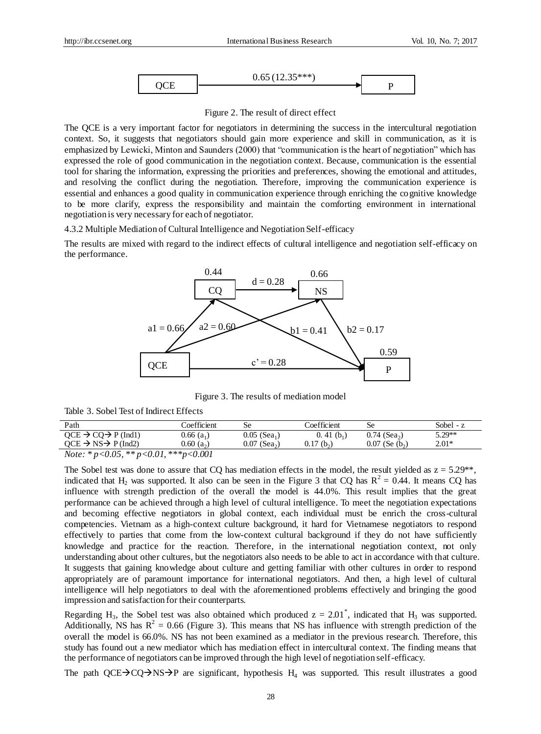

Figure 2. The result of direct effect

The QCE is a very important factor for negotiators in determining the success in the intercultural negotiation context. So, it suggests that negotiators should gain more experience and skill in communication, as it is emphasized by Lewicki, Minton and Saunders (2000) that "communication is the heart of negotiation" which has expressed the role of good communication in the negotiation context. Because, communication is the essential tool for sharing the information, expressing the priorities and preferences, showing the emotional and attitudes, and resolving the conflict during the negotiation. Therefore, improving the communication experience is essential and enhances a good quality in communication experience through enriching the cognitive knowledge to be more clarify, express the responsibility and maintain the comforting environment in international negotiation is very necessary for each of negotiator.

4.3.2 Multiple Mediation of Cultural Intelligence and Negotiation Self-efficacy

The results are mixed with regard to the indirect effects of cultural intelligence and negotiation self-efficacy on the performance.



Figure 3. The results of mediation model

| Table 3. Sobel Test of Indirect Effects |  |
|-----------------------------------------|--|
|-----------------------------------------|--|

| Path                                               | Coefficient | Se                         | Coefficient  |                            | Sobel - $z$ |
|----------------------------------------------------|-------------|----------------------------|--------------|----------------------------|-------------|
| $OCE \rightarrow CO \rightarrow P (Ind1)$          | $0.66(a_1)$ | $0.05$ (Sea <sub>1</sub> ) | $0.41(b_1)$  | $0.74$ (Sea <sub>2</sub> ) | $5.29**$    |
| $OCE \rightarrow NS \rightarrow P(Ind2)$           | $0.60(a_2)$ | $0.07$ (Sea <sub>2</sub> ) | $0.17~(b_2)$ | $0.07$ (Se $(b_2)$ )       | $2.01*$     |
| $N_{0}$ ta: * p < 0.05 * * p < 0.01 * * * p < 0.01 |             |                            |              |                            |             |

*Note: \* p<0.05, \*\* p<0.01, \*\*\*p<0.001*

The Sobel test was done to assure that CQ has mediation effects in the model, the result yielded as  $z = 5.29**$ , indicated that H<sub>2</sub> was supported. It also can be seen in the Figure 3 that CQ has  $R^2 = 0.44$ . It means CQ has influence with strength prediction of the overall the model is 44.0%. This result implies that the great performance can be achieved through a high level of cultural intelligence. To meet the negotiation expectations and becoming effective negotiators in global context, each individual must be enrich the cross-cultural competencies. Vietnam as a high-context culture background, it hard for Vietnamese negotiators to respond effectively to parties that come from the low-context cultural background if they do not have sufficiently knowledge and practice for the reaction. Therefore, in the international negotiation context, not only understanding about other cultures, but the negotiators also needs to be able to act in accordance with that culture. It suggests that gaining knowledge about culture and getting familiar with other cultures in order to respond appropriately are of paramount importance for international negotiators. And then, a high level of cultural intelligence will help negotiators to deal with the aforementioned problems effectively and bringing the good impression and satisfaction for their counterparts.

Regarding H<sub>3</sub>, the Sobel test was also obtained which produced  $z = 2.01^*$ , indicated that H<sub>3</sub> was supported. Additionally, NS has  $R^2 = 0.66$  (Figure 3). This means that NS has influence with strength prediction of the overall the model is 66.0%. NS has not been examined as a mediator in the previous research. Therefore, this study has found out a new mediator which has mediation effect in intercultural context. The finding means that the performance of negotiators can be improved through the high level of negotiation self-efficacy.

The path QCE $\rightarrow$ CQ $\rightarrow$ NS $\rightarrow$ P are significant, hypothesis H<sub>4</sub> was supported. This result illustrates a good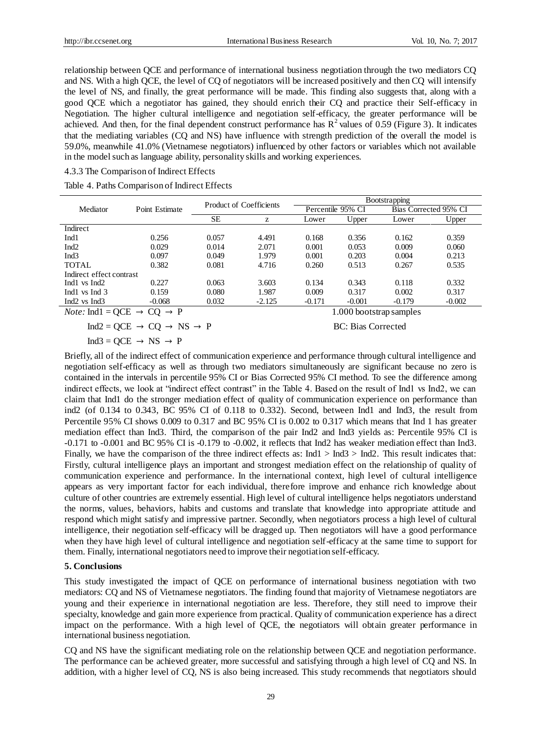relationship between QCE and performance of international business negotiation through the two mediators CQ and NS. With a high QCE, the level of CQ of negotiators will be increased positively and then CQ will intensify the level of NS, and finally, the great performance will be made. This finding also suggests that, along with a good QCE which a negotiator has gained, they should enrich their CQ and practice their Self-efficacy in Negotiation. The higher cultural intelligence and negotiation self-efficacy, the greater performance will be achieved. And then, for the final dependent construct performance has  $R^2$  values of 0.59 (Figure 3). It indicates that the mediating variables (CQ and NS) have influence with strength prediction of the overall the model is 59.0%, meanwhile 41.0% (Vietnamese negotiators) influenced by other factors or variables which not available in the model such as language ability, personality skills and working experiences.

#### 4.3.3 The Comparison of Indirect Effects

|  |  |  | Table 4. Paths Comparison of Indirect Effects |  |
|--|--|--|-----------------------------------------------|--|
|--|--|--|-----------------------------------------------|--|

| Mediator                                                              |                                                   | Product of Coefficients |          | <b>B</b> ootstrapping |                           |          |                       |
|-----------------------------------------------------------------------|---------------------------------------------------|-------------------------|----------|-----------------------|---------------------------|----------|-----------------------|
|                                                                       | Point Estimate                                    |                         |          |                       | Percentile 95% CI         |          | Bias Corrected 95% CI |
|                                                                       |                                                   | <b>SE</b>               | z        | Lower                 | Upper                     | Lower    | Upper                 |
| Indirect                                                              |                                                   |                         |          |                       |                           |          |                       |
| Ind1                                                                  | 0.256                                             | 0.057                   | 4.491    | 0.168                 | 0.356                     | 0.162    | 0.359                 |
| Ind <sub>2</sub>                                                      | 0.029                                             | 0.014                   | 2.071    | 0.001                 | 0.053                     | 0.009    | 0.060                 |
| Ind <sub>3</sub>                                                      | 0.097                                             | 0.049                   | 1.979    | 0.001                 | 0.203                     | 0.004    | 0.213                 |
| <b>TOTAL</b>                                                          | 0.382                                             | 0.081                   | 4.716    | 0.260                 | 0.513                     | 0.267    | 0.535                 |
| Indirect effect contrast                                              |                                                   |                         |          |                       |                           |          |                       |
| Ind1 vs Ind2                                                          | 0.227                                             | 0.063                   | 3.603    | 0.134                 | 0.343                     | 0.118    | 0.332                 |
| Ind1 vs Ind 3                                                         | 0.159                                             | 0.080                   | 1.987    | 0.009                 | 0.317                     | 0.002    | 0.317                 |
| Ind <sub>2</sub> vs Ind <sub>3</sub>                                  | $-0.068$                                          | 0.032                   | $-2.125$ | $-0.171$              | $-0.001$                  | $-0.179$ | $-0.002$              |
| <i>Note:</i> Ind $1 = QCE$<br>CO.<br>$\rightarrow$ P<br>$\rightarrow$ |                                                   |                         |          |                       | 1.000 bootstrap samples   |          |                       |
| $Ind2 = OCE$                                                          | $\rightarrow$ CO $\rightarrow$ NS $\rightarrow$ P |                         |          |                       | <b>BC:</b> Bias Corrected |          |                       |

 $Ind3 = OCE \rightarrow NS \rightarrow P$ 

Briefly, all of the indirect effect of communication experience and performance through cultural intelligence and negotiation self-efficacy as well as through two mediators simultaneously are significant because no zero is contained in the intervals in percentile 95% CI or Bias Corrected 95% CI method. To see the difference among indirect effects, we look at "indirect effect contrast" in the Table 4. Based on the result of Ind1 vs Ind2, we can claim that Ind1 do the stronger mediation effect of quality of communication experience on performance than ind2 (of 0.134 to 0.343, BC 95% CI of 0.118 to 0.332). Second, between Ind1 and Ind3, the result from Percentile 95% CI shows 0.009 to 0.317 and BC 95% CI is 0.002 to 0.317 which means that Ind 1 has greater mediation effect than Ind3. Third, the comparison of the pair Ind2 and Ind3 yields as: Percentile 95% CI is -0.171 to -0.001 and BC 95% CI is -0.179 to -0.002, it reflects that Ind2 has weaker mediation effect than Ind3. Finally, we have the comparison of the three indirect effects as:  $\text{Ind}$  >  $\text{Ind}$ 3 >  $\text{Ind}$ 2. This result indicates that: Firstly, cultural intelligence plays an important and strongest mediation effect on the relationship of quality of communication experience and performance. In the international context, high level of cultural intelligence appears as very important factor for each individual, therefore improve and enhance rich knowledge about culture of other countries are extremely essential. High level of cultural intelligence helps negotiators understand the norms, values, behaviors, habits and customs and translate that knowledge into appropriate attitude and respond which might satisfy and impressive partner. Secondly, when negotiators process a high level of cultural intelligence, their negotiation self-efficacy will be dragged up. Then negotiators will have a good performance when they have high level of cultural intelligence and negotiation self-efficacy at the same time to support for them. Finally, international negotiators need to improve their negotiation self-efficacy.

#### **5. Conclusions**

This study investigated the impact of QCE on performance of international business negotiation with two mediators: CQ and NS of Vietnamese negotiators. The finding found that majority of Vietnamese negotiators are young and their experience in international negotiation are less. Therefore, they still need to improve their specialty, knowledge and gain more experience from practical. Quality of communication experience has a direct impact on the performance. With a high level of QCE, the negotiators will obtain greater performance in international business negotiation.

CQ and NS have the significant mediating role on the relationship between QCE and negotiation performance. The performance can be achieved greater, more successful and satisfying through a high level of CQ and NS. In addition, with a higher level of CQ, NS is also being increased. This study recommends that negotiators should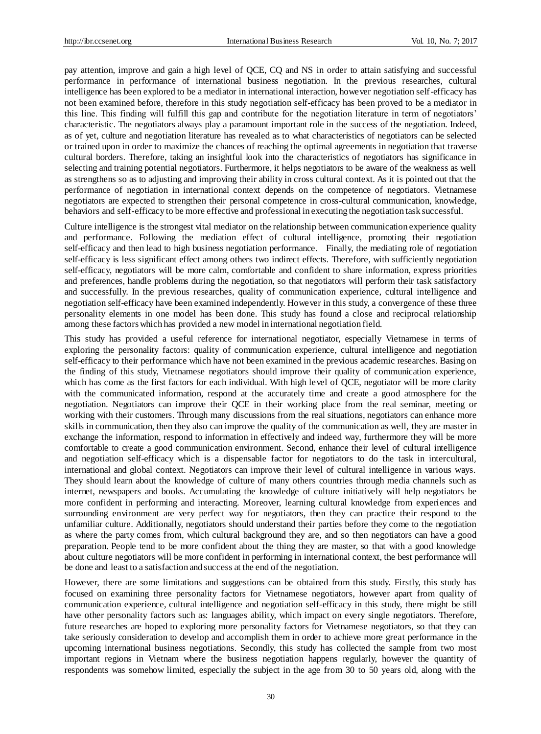pay attention, improve and gain a high level of QCE, CQ and NS in order to attain satisfying and successful performance in performance of international business negotiation. In the previous researches, cultural intelligence has been explored to be a mediator in international interaction, however negotiation self-efficacy has not been examined before, therefore in this study negotiation self-efficacy has been proved to be a mediator in this line. This finding will fulfill this gap and contribute for the negotiation literature in term of negotiators' characteristic. The negotiators always play a paramount important role in the success of the negotiation. Indeed, as of yet, culture and negotiation literature has revealed as to what characteristics of negotiators can be selected or trained upon in order to maximize the chances of reaching the optimal agreements in negotiation that traverse cultural borders. Therefore, taking an insightful look into the characteristics of negotiators has significance in selecting and training potential negotiators. Furthermore, it helps negotiators to be aware of the weakness as well as strengthens so as to adjusting and improving their ability in cross cultural context. As it is pointed out that the performance of negotiation in international context depends on the competence of negotiators. Vietnamese negotiators are expected to strengthen their personal competence in cross-cultural communication, knowledge, behaviors and self-efficacy to be more effective and professional in executing the negotiation task successful.

Culture intelligence is the strongest vital mediator on the relationship between communication experience quality and performance. Following the mediation effect of cultural intelligence, promoting their negotiation self-efficacy and then lead to high business negotiation performance. Finally, the mediating role of negotiation self-efficacy is less significant effect among others two indirect effects. Therefore, with sufficiently negotiation self-efficacy, negotiators will be more calm, comfortable and confident to share information, express priorities and preferences, handle problems during the negotiation, so that negotiators will perform their task satisfactory and successfully. In the previous researches, quality of communication experience, cultural intelligence and negotiation self-efficacy have been examined independently. However in this study, a convergence of these three personality elements in one model has been done. This study has found a close and reciprocal relationship among these factors which has provided a new model in international negotiation field.

This study has provided a useful reference for international negotiator, especially Vietnamese in terms of exploring the personality factors: quality of communication experience, cultural intelligence and negotiation self-efficacy to their performance which have not been examined in the previous academic researches. Basing on the finding of this study, Vietnamese negotiators should improve their quality of communication experience, which has come as the first factors for each individual. With high level of QCE, negotiator will be more clarity with the communicated information, respond at the accurately time and create a good atmosphere for the negotiation. Negotiators can improve their QCE in their working place from the real seminar, meeting or working with their customers. Through many discussions from the real situations, negotiators can enhance more skills in communication, then they also can improve the quality of the communication as well, they are master in exchange the information, respond to information in effectively and indeed way, furthermore they will be more comfortable to create a good communication environment. Second, enhance their level of cultural intelligence and negotiation self-efficacy which is a dispensable factor for negotiators to do the task in intercultural, international and global context. Negotiators can improve their level of cultural intelligence in various ways. They should learn about the knowledge of culture of many others countries through media channels such as internet, newspapers and books. Accumulating the knowledge of culture initiatively will help negotiators be more confident in performing and interacting. Moreover, learning cultural knowledge from experiences and surrounding environment are very perfect way for negotiators, then they can practice their respond to the unfamiliar culture. Additionally, negotiators should understand their parties before they come to the negotiation as where the party comes from, which cultural background they are, and so then negotiators can have a good preparation. People tend to be more confident about the thing they are master, so that with a good knowledge about culture negotiators will be more confident in performing in international context, the best performance will be done and least to a satisfaction and success at the end of the negotiation.

However, there are some limitations and suggestions can be obtained from this study. Firstly, this study has focused on examining three personality factors for Vietnamese negotiators, however apart from quality of communication experience, cultural intelligence and negotiation self-efficacy in this study, there might be still have other personality factors such as: languages ability, which impact on every single negotiators. Therefore, future researches are hoped to exploring more personality factors for Vietnamese negotiators, so that they can take seriously consideration to develop and accomplish them in order to achieve more great performance in the upcoming international business negotiations. Secondly, this study has collected the sample from two most important regions in Vietnam where the business negotiation happens regularly, however the quantity of respondents was somehow limited, especially the subject in the age from 30 to 50 years old, along with the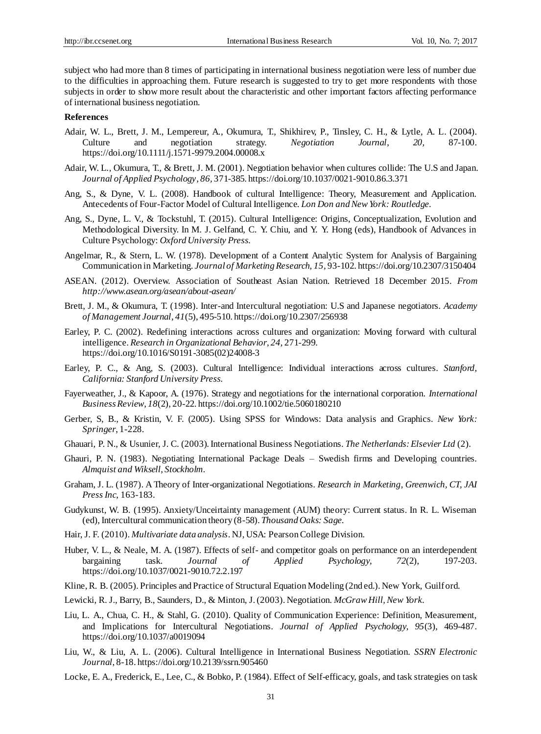subject who had more than 8 times of participating in international business negotiation were less of number due to the difficulties in approaching them. Future research is suggested to try to get more respondents with those subjects in order to show more result about the characteristic and other important factors affecting performance of international business negotiation.

#### **References**

- Adair, W. L., Brett, J. M., Lempereur, A., Okumura, T., Shikhirev, P., Tinsley, C. H., & Lytle, A. L. (2004). Culture and negotiation strategy. *Negotiation Journal*, *20,* 87-100. https://doi.org/10.1111/j.1571-9979.2004.00008.x
- Adair, W. L., Okumura, T., & Brett, J. M. (2001). Negotiation behavior when cultures collide: The U.S and Japan. *Journal of Applied Psychology*, *86,* 371-385. https://doi.org/10.1037/0021-9010.86.3.371
- Ang, S., & Dyne, V. L. (2008). Handbook of cultural Intelligence: Theory, Measurement and Application. Antecedents of Four-Factor Model of Cultural Intelligence. *Lon Don and New York: Routledge*.
- Ang, S., Dyne, L. V., & Tockstuhl, T. (2015). Cultural Intelligence: Origins, Conceptualization, Evolution and Methodological Diversity. In M. J. Gelfand, C. Y. Chiu, and Y. Y. Hong (eds), Handbook of Advances in Culture Psychology: *Oxford University Press*.
- Angelmar, R., & Stern, L. W. (1978). Development of a Content Analytic System for Analysis of Bargaining Communication in Marketing. *Journal of Marketing Research, 15,* 93-102. https://doi.org/10.2307/3150404
- ASEAN. (2012). Overview. Association of Southeast Asian Nation. Retrieved 18 December 2015. *From <http://www.asean.org/asean/about-asean/>*
- Brett, J. M., & Okumura, T. (1998). Inter-and Intercultural negotiation: U.S and Japanese negotiators. *Academy of Management Journal*, *41*(5), 495-510. https://doi.org/10.2307/256938
- Earley, P. C. (2002). Redefining interactions across cultures and organization: Moving forward with cultural intelligence. *Research in Organizational Behavior*, *24,* 271-299. https://doi.org/10.1016/S0191-3085(02)24008-3
- Earley, P. C., & Ang, S. (2003). Cultural Intelligence: Individual interactions across cultures. *Stanford, California: Stanford University Press*.
- Fayerweather, J., & Kapoor, A. (1976). Strategy and negotiations for the international corporation. *International Business Review*, *18*(2), 20-22. https://doi.org/10.1002/tie.5060180210
- Gerber, S, B., & Kristin, V. F. (2005). Using SPSS for Windows: Data analysis and Graphics. *New York: Springer*, 1-228.
- Ghauari, P. N., & Usunier, J. C. (2003). International Business Negotiations. *The Netherlands: Elsevier Ltd* (2).
- Ghauri, P. N. (1983). Negotiating International Package Deals Swedish firms and Developing countries. *Almquist and Wiksell, Stockholm*.
- Graham, J. L. (1987). A Theory of Inter-organizational Negotiations. *Research in Marketing, Greenwich, CT, JAI Press Inc*, 163-183.
- Gudykunst, W. B. (1995). Anxiety/Unceirtainty management (AUM) theory: Current status. In R. L. Wiseman (ed), Intercultural communication theory (8-58). *Thousand Oaks: Sage*.
- Hair, J. F. (2010). *Multivariate data analysis*. NJ, USA: Pearson College Division.
- Huber, V. L., & Neale, M. A. (1987). Effects of self- and competitor goals on performance on an interdependent bargaining task. *Journal of Applied Psychology, 72*(2), 197-203. https://doi.org/10.1037/0021-9010.72.2.197
- Kline, R. B. (2005). Principles and Practice of Structural Equation Modeling (2nd ed.). New York, Guilford.
- Lewicki, R. J., Barry, B., Saunders, D., & Minton, J. (2003). Negotiation. *McGraw Hill, New York.*
- Liu, L. A., Chua, C. H., & Stahl, G. (2010). Quality of Communication Experience: Definition, Measurement, and Implications for Intercultural Negotiations. *Journal of Applied Psychology, 95*(3), 469-487. https://doi.org/10.1037/a0019094
- Liu, W., & Liu, A. L. (2006). Cultural Intelligence in International Business Negotiation. *SSRN Electronic Journal*, 8-18. https://doi.org/10.2139/ssrn.905460
- Locke, E. A., Frederick, E., Lee, C., & Bobko, P. (1984). Effect of Self-efficacy, goals, and task strategies on task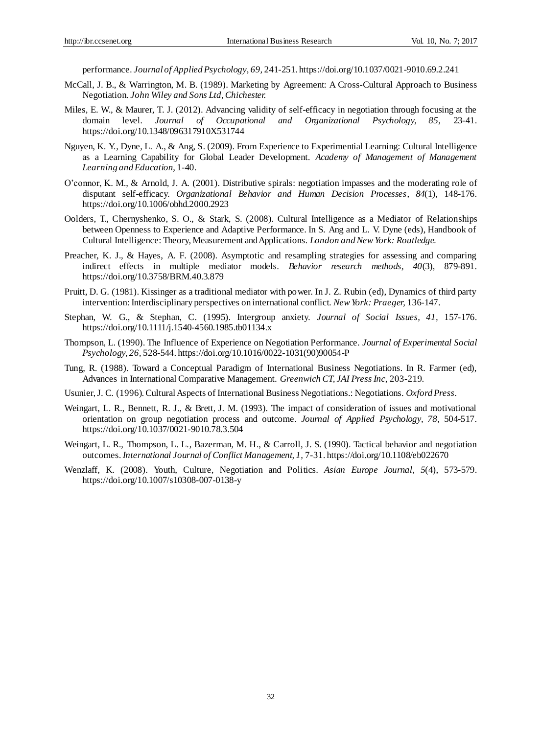performance. *Journal of Applied Psychology*, *69,* 241-251. https://doi.org/10.1037/0021-9010.69.2.241

- McCall, J. B., & Warrington, M. B. (1989). Marketing by Agreement: A Cross-Cultural Approach to Business Negotiation. *John Wiley and Sons Ltd, Chichester.*
- Miles, E. W., & Maurer, T. J. (2012). Advancing validity of self-efficacy in negotiation through focusing at the domain level. *Journal of Occupational and Organizational Psychology, 85,* 23-41. https://doi.org/10.1348/096317910X531744
- Nguyen, K. Y., Dyne, L. A., & Ang, S. (2009). From Experience to Experimential Learning: Cultural Intelligence as a Learning Capability for Global Leader Development. *Academy of Management of Management Learning and Education*, 1-40.
- O'connor, K. M., & Arnold, J. A. (2001). Distributive spirals: negotiation impasses and the moderating role of disputant self-efficacy. *Organizational Behavior and Human Decision Processes*, *84*(1), 148-176. https://doi.org/10.1006/obhd.2000.2923
- Oolders, T., Chernyshenko, S. O., & Stark, S. (2008). Cultural Intelligence as a Mediator of Relationships between Openness to Experience and Adaptive Performance. In S. Ang and L. V. Dyne (eds), Handbook of Cultural Intelligence: Theory, Measurement and Applications. *London and New York: Routledge.*
- Preacher, K. J., & Hayes, A. F. (2008). Asymptotic and resampling strategies for assessing and comparing indirect effects in multiple mediator models. *Behavior research methods, 40*(3), 879-891. https://doi.org/10.3758/BRM.40.3.879
- Pruitt, D. G. (1981). Kissinger as a traditional mediator with power. In J. Z. Rubin (ed), Dynamics of third party intervention: Interdisciplinary perspectives on international conflict. *New York: Praeger,* 136-147.
- Stephan, W. G., & Stephan, C. (1995). Intergroup anxiety. *Journal of Social Issues, 41,* 157-176. https://doi.org/10.1111/j.1540-4560.1985.tb01134.x
- Thompson, L. (1990). The Influence of Experience on Negotiation Performance. *Journal of Experimental Social Psychology, 26,* 528-544. https://doi.org/10.1016/0022-1031(90)90054-P
- Tung, R. (1988). Toward a Conceptual Paradigm of International Business Negotiations. In R. Farmer (ed), Advances in International Comparative Management. *Greenwich CT, JAI Press Inc*, 203-219.
- Usunier, J. C. (1996). Cultural Aspects of International Business Negotiations.: Negotiations. *Oxford Press*.
- Weingart, L. R., Bennett, R. J., & Brett, J. M. (1993). The impact of consideration of issues and motivational orientation on group negotiation process and outcome. *Journal of Applied Psychology, 78,* 504-517. https://doi.org/10.1037/0021-9010.78.3.504
- Weingart, L. R., Thompson, L. L., Bazerman, M. H., & Carroll, J. S. (1990). Tactical behavior and negotiation outcomes. *International Journal of Conflict Management, 1,* 7-31. https://doi.org/10.1108/eb022670
- Wenzlaff, K. (2008). Youth, Culture, Negotiation and Politics. *Asian Europe Journal*, *5*(4), 573-579. https://doi.org/10.1007/s10308-007-0138-y